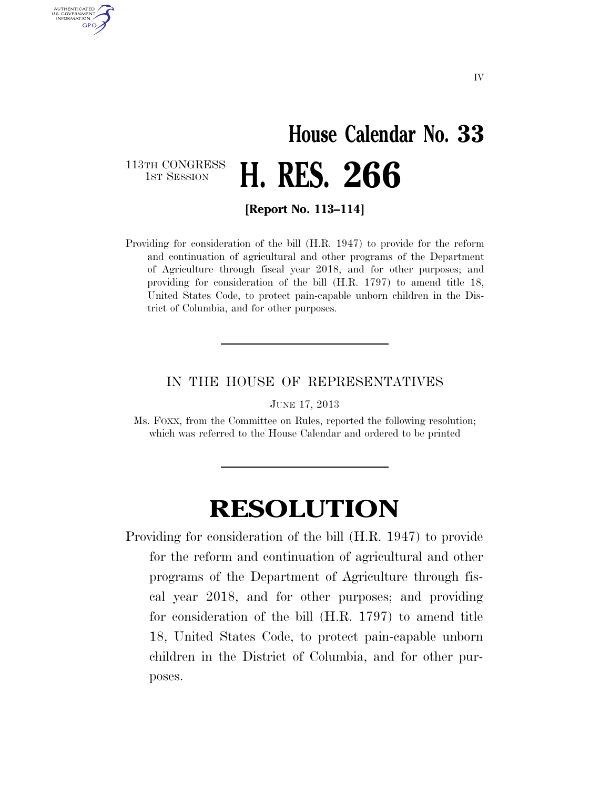## **House Calendar No. 33**  1ST SESSION **H. RES. 266**

113TH CONGRESS<br>1st Session

AUTHENTICATED U.S. GOVERNMENT **GPO** 

**[Report No. 113–114]** 

Providing for consideration of the bill (H.R. 1947) to provide for the reform and continuation of agricultural and other programs of the Department of Agriculture through fiscal year 2018, and for other purposes; and providing for consideration of the bill (H.R. 1797) to amend title 18, United States Code, to protect pain-capable unborn children in the District of Columbia, and for other purposes.

## IN THE HOUSE OF REPRESENTATIVES

JUNE 17, 2013

Ms. FOXX, from the Committee on Rules, reported the following resolution; which was referred to the House Calendar and ordered to be printed

## **RESOLUTION**

Providing for consideration of the bill (H.R. 1947) to provide for the reform and continuation of agricultural and other programs of the Department of Agriculture through fiscal year 2018, and for other purposes; and providing for consideration of the bill (H.R. 1797) to amend title 18, United States Code, to protect pain-capable unborn children in the District of Columbia, and for other purposes.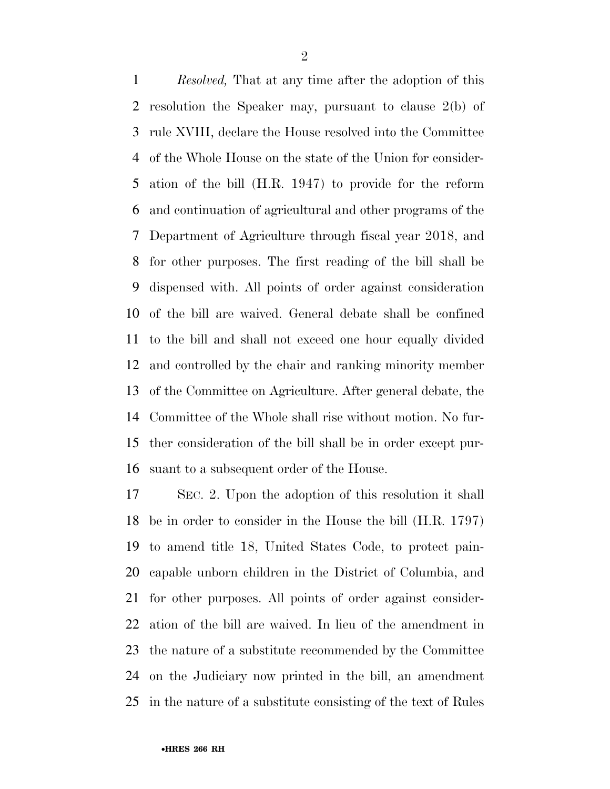*Resolved,* That at any time after the adoption of this resolution the Speaker may, pursuant to clause 2(b) of rule XVIII, declare the House resolved into the Committee of the Whole House on the state of the Union for consider- ation of the bill (H.R. 1947) to provide for the reform and continuation of agricultural and other programs of the Department of Agriculture through fiscal year 2018, and for other purposes. The first reading of the bill shall be dispensed with. All points of order against consideration of the bill are waived. General debate shall be confined to the bill and shall not exceed one hour equally divided and controlled by the chair and ranking minority member of the Committee on Agriculture. After general debate, the Committee of the Whole shall rise without motion. No fur- ther consideration of the bill shall be in order except pur-suant to a subsequent order of the House.

 SEC. 2. Upon the adoption of this resolution it shall be in order to consider in the House the bill (H.R. 1797) to amend title 18, United States Code, to protect pain- capable unborn children in the District of Columbia, and for other purposes. All points of order against consider- ation of the bill are waived. In lieu of the amendment in the nature of a substitute recommended by the Committee on the Judiciary now printed in the bill, an amendment in the nature of a substitute consisting of the text of Rules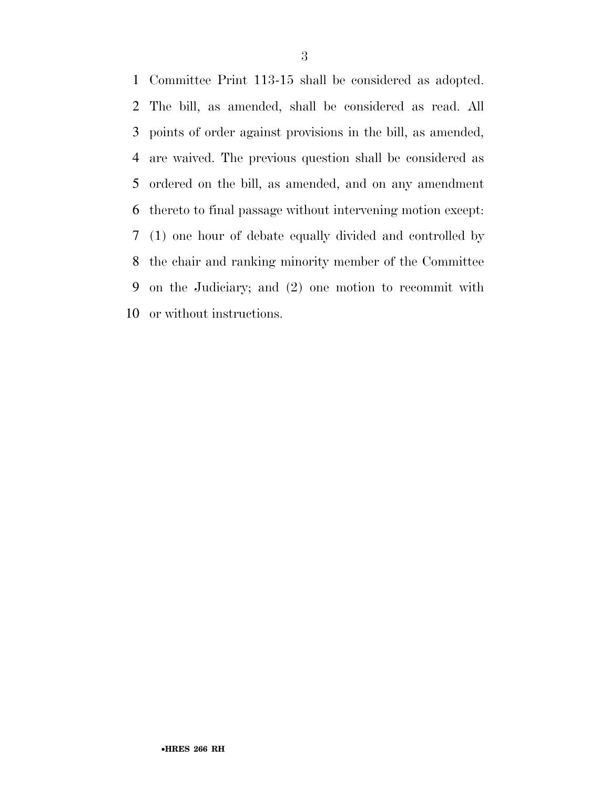Committee Print 113-15 shall be considered as adopted. The bill, as amended, shall be considered as read. All points of order against provisions in the bill, as amended, are waived. The previous question shall be considered as ordered on the bill, as amended, and on any amendment thereto to final passage without intervening motion except: (1) one hour of debate equally divided and controlled by the chair and ranking minority member of the Committee on the Judiciary; and (2) one motion to recommit with or without instructions.